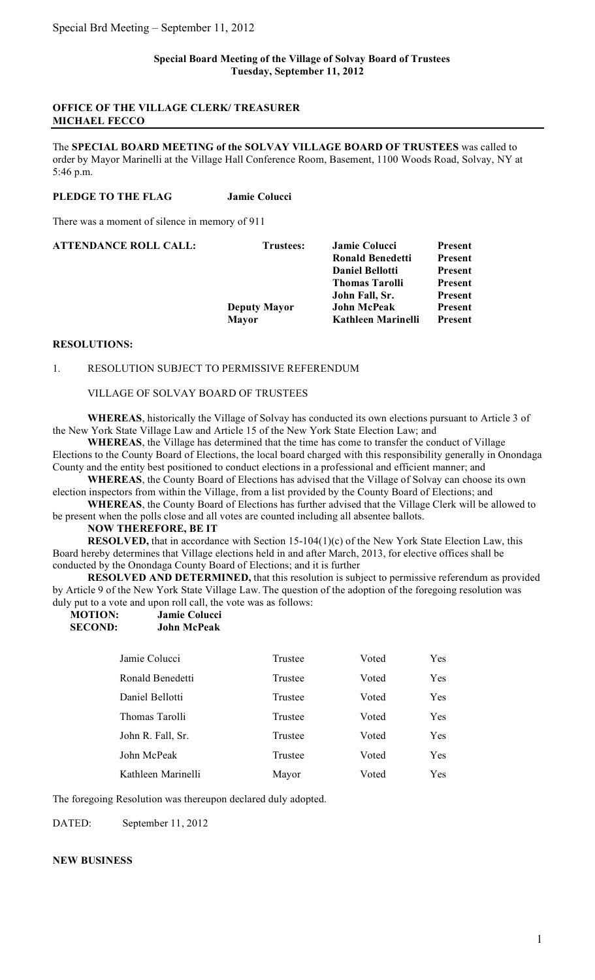# **OFFICE OF THE VILLAGE CLERK/ TREASURER MICHAEL FECCO**

The **SPECIAL BOARD MEETING of the SOLVAY VILLAGE BOARD OF TRUSTEES** was called to order by Mayor Marinelli at the Village Hall Conference Room, Basement, 1100 Woods Road, Solvay, NY at 5:46 p.m.

#### **PLEDGE TO THE FLAG Jamie Colucci**

There was a moment of silence in memory of 911

| ATTENDANCE ROLL CALL: | Trustees:           | <b>Jamie Colucci</b><br><b>Ronald Benedetti</b><br><b>Daniel Bellotti</b><br><b>Thomas Tarolli</b><br>John Fall, Sr. | Present<br>Present<br>Present<br>Present<br>Present |
|-----------------------|---------------------|----------------------------------------------------------------------------------------------------------------------|-----------------------------------------------------|
|                       | <b>Deputy Mayor</b> | <b>John McPeak</b>                                                                                                   | Present                                             |
|                       | <b>Mayor</b>        | <b>Kathleen Marinelli</b>                                                                                            | Present                                             |

# **RESOLUTIONS:**

#### 1. RESOLUTION SUBJECT TO PERMISSIVE REFERENDUM

VILLAGE OF SOLVAY BOARD OF TRUSTEES

**WHEREAS**, historically the Village of Solvay has conducted its own elections pursuant to Article 3 of the New York State Village Law and Article 15 of the New York State Election Law; and

**WHEREAS**, the Village has determined that the time has come to transfer the conduct of Village Elections to the County Board of Elections, the local board charged with this responsibility generally in Onondaga County and the entity best positioned to conduct elections in a professional and efficient manner; and

**WHEREAS**, the County Board of Elections has advised that the Village of Solvay can choose its own election inspectors from within the Village, from a list provided by the County Board of Elections; and

**WHEREAS**, the County Board of Elections has further advised that the Village Clerk will be allowed to be present when the polls close and all votes are counted including all absentee ballots.

**NOW THEREFORE, BE IT**

**RESOLVED,** that in accordance with Section 15-104(1)(c) of the New York State Election Law, this Board hereby determines that Village elections held in and after March, 2013, for elective offices shall be conducted by the Onondaga County Board of Elections; and it is further

**RESOLVED AND DETERMINED,** that this resolution is subject to permissive referendum as provided by Article 9 of the New York State Village Law. The question of the adoption of the foregoing resolution was duly put to a vote and upon roll call, the vote was as follows:

| <b>MOTION:</b> | <b>Jamie Colucci</b> |  |
|----------------|----------------------|--|
| <b>SECOND:</b> | John McPeak          |  |

| Jamie Colucci      | Trustee | Voted | Yes        |
|--------------------|---------|-------|------------|
| Ronald Benedetti   | Trustee | Voted | Yes        |
| Daniel Bellotti    | Trustee | Voted | Yes        |
| Thomas Tarolli     | Trustee | Voted | Yes        |
| John R. Fall, Sr.  | Trustee | Voted | Yes        |
| John McPeak        | Trustee | Voted | <b>Yes</b> |
| Kathleen Marinelli | Mayor   | Voted | <b>Yes</b> |

The foregoing Resolution was thereupon declared duly adopted.

DATED: September 11, 2012

### **NEW BUSINESS**